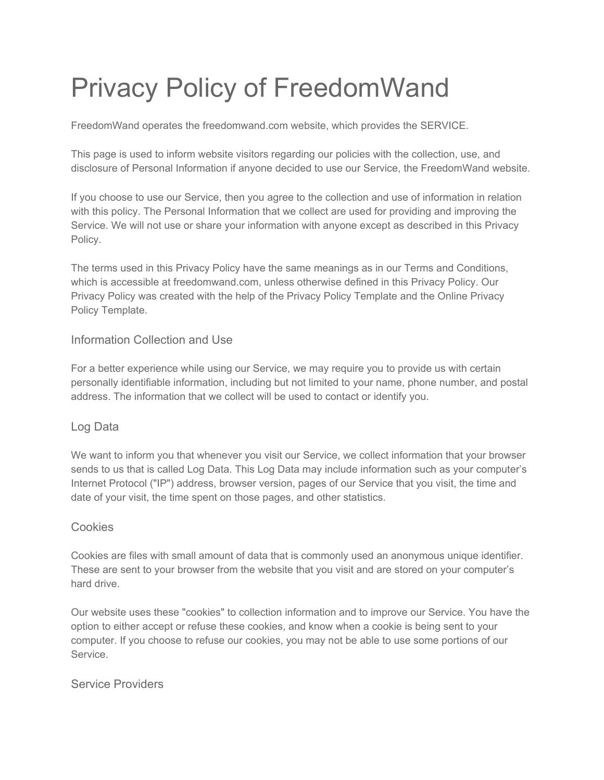# Privacy Policy of FreedomWand

FreedomWand operates the freedomwand.com website, which provides the SERVICE.

This page is used to inform website visitors regarding our policies with the collection, use, and disclosure of Personal Information if anyone decided to use our Service, the FreedomWand website.

If you choose to use our Service, then you agree to the collection and use of information in relation with this policy. The Personal Information that we collect are used for providing and improving the Service. We will not use or share your information with anyone except as described in this Privacy Policy.

The terms used in this Privacy Policy have the same meanings as in our Terms and Conditions, which is accessible at freedomwand.com, unless otherwise defined in this Privacy Policy. Our Privacy Policy was created with the help of the [Privacy Policy Template](https://www.privacypolicytemplate.net/) and the [Online Privacy](https://www.privacy-policy-template.com/) [Policy Template.](https://www.privacy-policy-template.com/)

# Information Collection and Use

For a better experience while using our Service, we may require you to provide us with certain personally identifiable information, including but not limited to your name, phone number, and postal address. The information that we collect will be used to contact or identify you.

# Log Data

We want to inform you that whenever you visit our Service, we collect information that your browser sends to us that is called Log Data. This Log Data may include information such as your computer's Internet Protocol ("IP") address, browser version, pages of our Service that you visit, the time and date of your visit, the time spent on those pages, and other statistics.

# **Cookies**

Cookies are files with small amount of data that is commonly used an anonymous unique identifier. These are sent to your browser from the website that you visit and are stored on your computer's hard drive.

Our website uses these "cookies" to collection information and to improve our Service. You have the option to either accept or refuse these cookies, and know when a cookie is being sent to your computer. If you choose to refuse our cookies, you may not be able to use some portions of our Service.

Service Providers